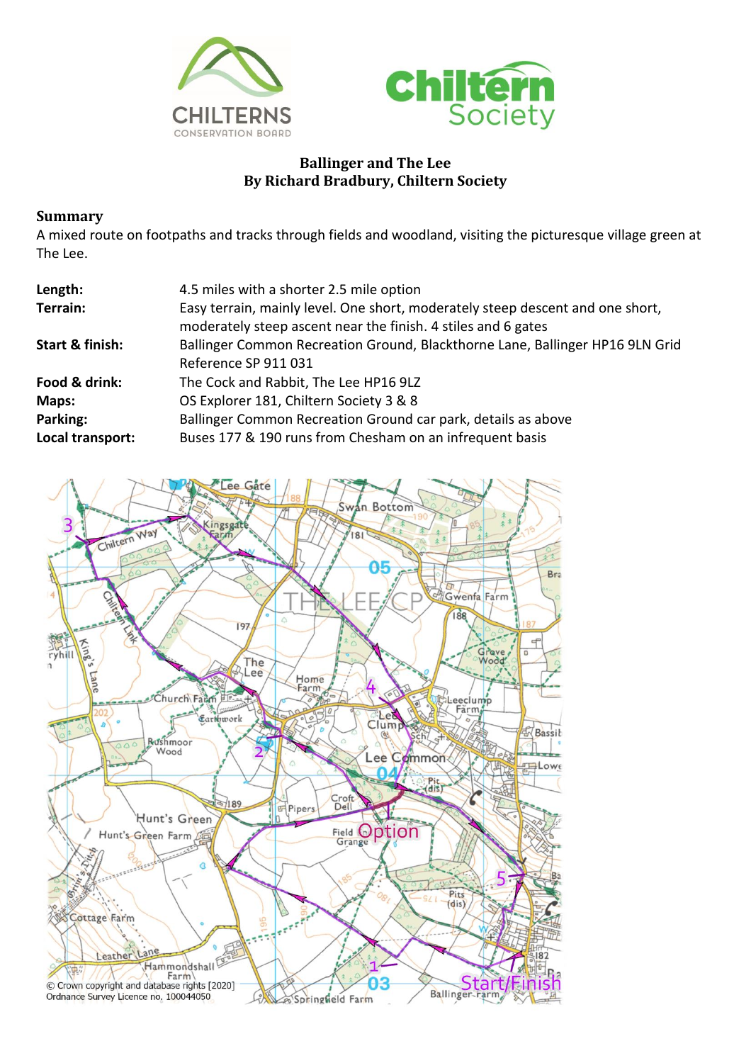



## **Ballinger and The Lee By Richard Bradbury, Chiltern Society**

## **Summary**

A mixed route on footpaths and tracks through fields and woodland, visiting the picturesque village green at The Lee.

| Length:          | 4.5 miles with a shorter 2.5 mile option                                                                                                        |
|------------------|-------------------------------------------------------------------------------------------------------------------------------------------------|
| Terrain:         | Easy terrain, mainly level. One short, moderately steep descent and one short,<br>moderately steep ascent near the finish. 4 stiles and 6 gates |
| Start & finish:  | Ballinger Common Recreation Ground, Blackthorne Lane, Ballinger HP16 9LN Grid<br>Reference SP 911 031                                           |
| Food & drink:    | The Cock and Rabbit, The Lee HP16 9LZ                                                                                                           |
| Maps:            | OS Explorer 181, Chiltern Society 3 & 8                                                                                                         |
| Parking:         | Ballinger Common Recreation Ground car park, details as above                                                                                   |
| Local transport: | Buses 177 & 190 runs from Chesham on an infrequent basis                                                                                        |

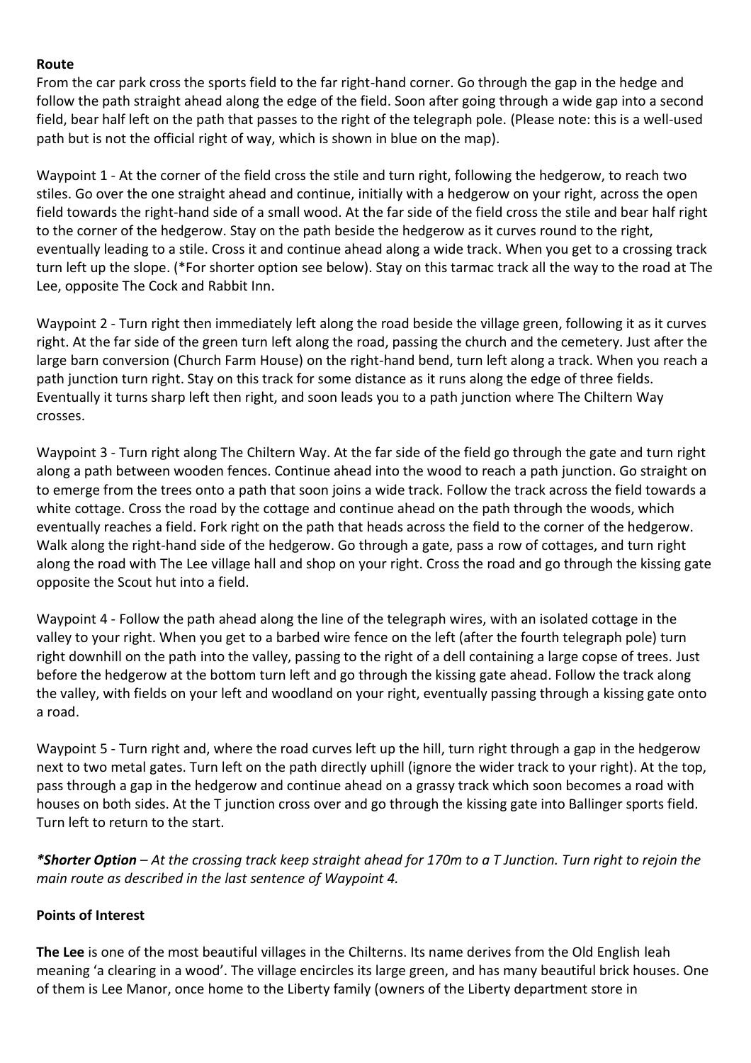## **Route**

From the car park cross the sports field to the far right-hand corner. Go through the gap in the hedge and follow the path straight ahead along the edge of the field. Soon after going through a wide gap into a second field, bear half left on the path that passes to the right of the telegraph pole. (Please note: this is a well-used path but is not the official right of way, which is shown in blue on the map).

Waypoint 1 - At the corner of the field cross the stile and turn right, following the hedgerow, to reach two stiles. Go over the one straight ahead and continue, initially with a hedgerow on your right, across the open field towards the right-hand side of a small wood. At the far side of the field cross the stile and bear half right to the corner of the hedgerow. Stay on the path beside the hedgerow as it curves round to the right, eventually leading to a stile. Cross it and continue ahead along a wide track. When you get to a crossing track turn left up the slope. (\*For shorter option see below). Stay on this tarmac track all the way to the road at The Lee, opposite The Cock and Rabbit Inn.

Waypoint 2 - Turn right then immediately left along the road beside the village green, following it as it curves right. At the far side of the green turn left along the road, passing the church and the cemetery. Just after the large barn conversion (Church Farm House) on the right-hand bend, turn left along a track. When you reach a path junction turn right. Stay on this track for some distance as it runs along the edge of three fields. Eventually it turns sharp left then right, and soon leads you to a path junction where The Chiltern Way crosses.

Waypoint 3 - Turn right along The Chiltern Way. At the far side of the field go through the gate and turn right along a path between wooden fences. Continue ahead into the wood to reach a path junction. Go straight on to emerge from the trees onto a path that soon joins a wide track. Follow the track across the field towards a white cottage. Cross the road by the cottage and continue ahead on the path through the woods, which eventually reaches a field. Fork right on the path that heads across the field to the corner of the hedgerow. Walk along the right-hand side of the hedgerow. Go through a gate, pass a row of cottages, and turn right along the road with The Lee village hall and shop on your right. Cross the road and go through the kissing gate opposite the Scout hut into a field.

Waypoint 4 - Follow the path ahead along the line of the telegraph wires, with an isolated cottage in the valley to your right. When you get to a barbed wire fence on the left (after the fourth telegraph pole) turn right downhill on the path into the valley, passing to the right of a dell containing a large copse of trees. Just before the hedgerow at the bottom turn left and go through the kissing gate ahead. Follow the track along the valley, with fields on your left and woodland on your right, eventually passing through a kissing gate onto a road.

Waypoint 5 - Turn right and, where the road curves left up the hill, turn right through a gap in the hedgerow next to two metal gates. Turn left on the path directly uphill (ignore the wider track to your right). At the top, pass through a gap in the hedgerow and continue ahead on a grassy track which soon becomes a road with houses on both sides. At the T junction cross over and go through the kissing gate into Ballinger sports field. Turn left to return to the start.

*\*Shorter Option – At the crossing track keep straight ahead for 170m to a T Junction. Turn right to rejoin the main route as described in the last sentence of Waypoint 4.*

## **Points of Interest**

**The Lee** is one of the most beautiful villages in the Chilterns. Its name derives from the Old English leah meaning 'a clearing in a wood'. The village encircles its large green, and has many beautiful brick houses. One of them is Lee Manor, once home to the Liberty family (owners of the Liberty department store in